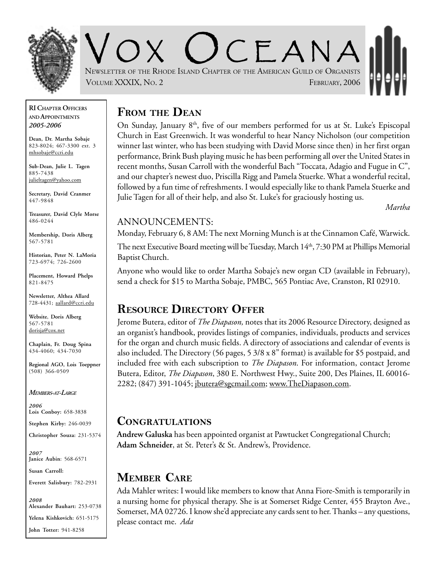

 $C<sub>F</sub> A N A$ NEWSLETTER OF THE RHODE ISLAND CHAPTER OF THE AMERICAN GUILD OF ORGANISTS VOLUME XXXIX, NO. 2 **FEBRUARY, 2006** 

#### **RI CHAPTER OFFICERS AND APPOINTMENTS** *2005-2006*

**Dean, Dr. Martha Sobaje** 823-8024; 467-3300 ext. 3 mhsobaje@ccri.edu

**Sub-Dean, Julie L. Tagen** 885-7438 julieltagen@yahoo.com

**Secretary, David Cranmer** 447-9848

**Treasurer, David Clyle Morse** 486-0244

**Membership, Doris Alberg** 567-5781

**Historian, Peter N. LaMoria** 723-6974; 726-2600

**Placement, Howard Phelps** 821-8475

**Newsletter, Althea Allard** 728-4431; aallard@ccri.edu

**Website**, **Doris Alberg** 567-5781 dorisja@cox.net

**Chaplain, Fr. Doug Spina** 434-4060; 434-7030

**Regional AGO, Lois Toeppner** (508) 366-0509

*MEMBERS-AT-LARGE*

*2006* **Lois Conboy:** 658-3838

**Stephen Kirby:** 246-0039

**Christopher Souza:** 231-5374

*2007* **Janice Aubin**: 568-6571

**Susan Carroll:**

**Everett Salisbury:** 782-2931

*2008* **Alexander Bauhart:** 253-0738 **Yelena Kishkovich:** 651-5175

**John Totter:** 941-8258

## **FROM THE DEAN**

On Sunday, January 8<sup>th</sup>, five of our members performed for us at St. Luke's Episcopal Church in East Greenwich. It was wonderful to hear Nancy Nicholson (our competition winner last winter, who has been studying with David Morse since then) in her first organ performance, Brink Bush playing music he has been performing all over the United States in recent months, Susan Carroll with the wonderful Bach "Toccata, Adagio and Fugue in C", and our chapter's newest duo, Priscilla Rigg and Pamela Stuerke. What a wonderful recital, followed by a fun time of refreshments. I would especially like to thank Pamela Stuerke and Julie Tagen for all of their help, and also St. Luke's for graciously hosting us.

*Martha*

### ANNOUNCEMENTS:

Monday, February 6, 8 AM: The next Morning Munch is at the Cinnamon Café, Warwick.

The next Executive Board meeting will be Tuesday, March 14<sup>th</sup>, 7:30 PM at Phillips Memorial Baptist Church.

Anyone who would like to order Martha Sobaje's new organ CD (available in February), send a check for \$15 to Martha Sobaje, PMBC, 565 Pontiac Ave, Cranston, RI 02910.

### **RESOURCE DIRECTORY OFFER**

Jerome Butera, editor of *The Diapason,* notes that its 2006 Resource Directory, designed as an organist's handbook, provides listings of companies, individuals, products and services for the organ and church music fields. A directory of associations and calendar of events is also included. The Directory (56 pages, 5 3/8 x 8" format) is available for \$5 postpaid, and included free with each subscription to *The Diapason*. For information, contact Jerome Butera, Editor, *The Diapason*, 380 E. Northwest Hwy., Suite 200, Des Plaines, IL 60016- 2282; (847) 391-1045; jbutera@sgcmail.com; www.TheDiapason.com.

### **CONGRATULATIONS**

**Andrew Galuska** has been appointed organist at Pawtucket Congregational Church; **Adam Schneider**, at St. Peter's & St. Andrew's, Providence.

# **MEMBER CARE**

Ada Mahler writes: I would like members to know that Anna Fiore-Smith is temporarily in a nursing home for physical therapy. She is at Somerset Ridge Center, 455 Brayton Ave., Somerset, MA 02726. I know she'd appreciate any cards sent to her. Thanks – any questions, please contact me. *Ada*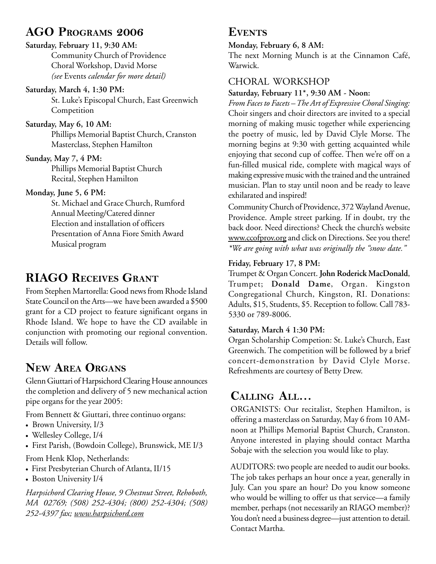## **AGO PROGRAMS 2006**

### **Saturday, February 11, 9:30 AM:**

Community Church of Providence Choral Workshop, David Morse *(see* Events *calendar for more detail)*

#### **Saturday, March 4, 1:30 PM:**

St. Luke's Episcopal Church, East Greenwich **Competition** 

#### **Saturday, May 6, 10 AM:**

Phillips Memorial Baptist Church, Cranston Masterclass, Stephen Hamilton

#### **Sunday, May 7, 4 PM:**

Phillips Memorial Baptist Church Recital, Stephen Hamilton

### **Monday, June 5, 6 PM:**

St. Michael and Grace Church, Rumford Annual Meeting/Catered dinner Election and installation of officers Presentation of Anna Fiore Smith Award Musical program

# **RIAGO RECEIVES GRANT**

From Stephen Martorella: Good news from Rhode Island State Council on the Arts—we have been awarded a \$500 grant for a CD project to feature significant organs in Rhode Island. We hope to have the CD available in conjunction with promoting our regional convention. Details will follow.

## **NEW AREA ORGANS**

Glenn Giuttari of Harpsichord Clearing House announces the completion and delivery of 5 new mechanical action pipe organs for the year 2005:

From Bennett & Giuttari, three continuo organs:

- Brown University, I/3
- Wellesley College, I/4
- First Parish, (Bowdoin College), Brunswick, ME I/3

From Henk Klop, Netherlands:

- First Presbyterian Church of Atlanta, II/15
- Boston University I/4

*Harpsichord Clearing House, 9 Chestnut Street, Rehoboth, MA 02769; (508) 252-4304; (800) 252-4304; (508) 252-4397 fax; www.harpsichord.com*

### **EVENTS**

### **Monday, February 6, 8 AM:**

The next Morning Munch is at the Cinnamon Café, Warwick.

### CHORAL WORKSHOP

### **Saturday, February 11\*, 9:30 AM - Noon:**

*From Faces to Facets – The Art of Expressive Choral Singing:* Choir singers and choir directors are invited to a special morning of making music together while experiencing the poetry of music, led by David Clyle Morse. The morning begins at 9:30 with getting acquainted while enjoying that second cup of coffee. Then we're off on a fun-filled musical ride, complete with magical ways of making expressive music with the trained and the untrained musician. Plan to stay until noon and be ready to leave exhilarated and inspired!

Community Church of Providence, 372 Wayland Avenue, Providence. Ample street parking. If in doubt, try the back door. Need directions? Check the church's website www.ccofprov.org and click on Directions. See you there! *\*We are going with what was originally the "snow date."*

### **Friday, February 17, 8 PM:**

Trumpet & Organ Concert. **John Roderick MacDonald**, Trumpet; **Donald Dame**, Organ. Kingston Congregational Church, Kingston, RI. Donations: Adults, \$15, Students, \$5. Reception to follow. Call 783- 5330 or 789-8006.

### **Saturday, March 4 1:30 PM:**

Organ Scholarship Competion: St. Luke's Church, East Greenwich. The competition will be followed by a brief concert-demonstration by David Clyle Morse. Refreshments are courtesy of Betty Drew.

# **CALLING ALL…**

ORGANISTS: Our recitalist, Stephen Hamilton, is offering a masterclass on Saturday, May 6 from 10 AMnoon at Phillips Memorial Baptist Church, Cranston. Anyone interested in playing should contact Martha Sobaje with the selection you would like to play.

AUDITORS: two people are needed to audit our books. The job takes perhaps an hour once a year, generally in July. Can you spare an hour? Do you know someone who would be willing to offer us that service—a family member, perhaps (not necessarily an RIAGO member)? You don't need a business degree—just attention to detail. Contact Martha.